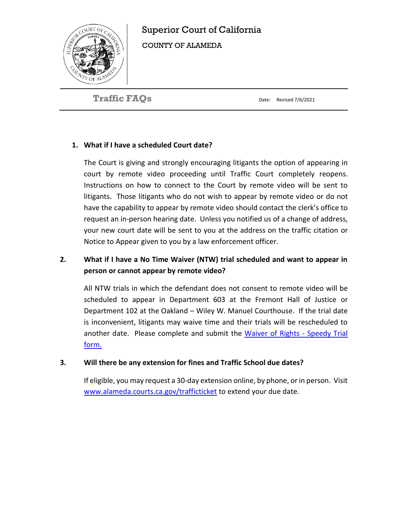

# Superior Court of California

COUNTY OF ALAMEDA

**Traffic FAQs** 

Date: Revised 7/6/2021

# **1. What if I have a scheduled Court date?**

The Court is giving and strongly encouraging litigants the option of appearing in court by remote video proceeding until Traffic Court completely reopens. Instructions on how to connect to the Court by remote video will be sent to litigants. Those litigants who do not wish to appear by remote video or do not have the capability to appear by remote video should contact the clerk's office to request an in-person hearing date. Unless you notified us of a change of address, your new court date will be sent to you at the address on the traffic citation or Notice to Appear given to you by a law enforcement officer.

# **2. What if I have a No Time Waiver (NTW) trial scheduled and want to appear in person or cannot appear by remote video?**

All NTW trials in which the defendant does not consent to remote video will be scheduled to appear in Department 603 at the Fremont Hall of Justice or Department 102 at the Oakland – Wiley W. Manuel Courthouse. If the trial date is inconvenient, litigants may waive time and their trials will be rescheduled to another date. Please complete and submit the [Waiver of Rights -](http://www.alameda.courts.ca.gov/Resources/Documents/Traffic%20Waiver%20-%20Speedy%20Trial%20Rev.%202020%204%2016.pdf) Speedy Trial form.

# **3. Will there be any extension for fines and Traffic School due dates?**

If eligible, you may request a 30-day extension online, by phone, or in person. Visit [www.alameda.courts.ca.gov/trafficticket](http://www.alameda.courts.ca.gov/trafficticket) to extend your due date.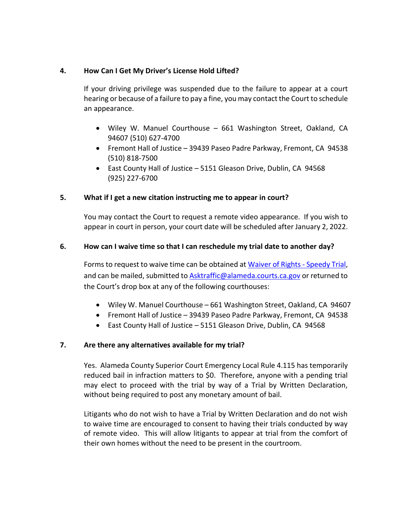### **4. How Can I Get My Driver's License Hold Lifted?**

If your driving privilege was suspended due to the failure to appear at a court hearing or because of a failure to pay a fine, you may contact the Court to schedule an appearance.

- Wiley W. Manuel Courthouse 661 Washington Street, Oakland, CA 94607 (510) 627-4700
- Fremont Hall of Justice 39439 Paseo Padre Parkway, Fremont, CA 94538 (510) 818-7500
- East County Hall of Justice 5151 Gleason Drive, Dublin, CA 94568 (925) 227-6700

## **5. What if I get a new citation instructing me to appear in court?**

You may contact the Court to request a remote video appearance. If you wish to appear in court in person, your court date will be scheduled after January 2, 2022.

#### **6. How can I waive time so that I can reschedule my trial date to another day?**

Forms to request to waive time can be obtained at [Waiver of Rights -](http://www.alameda.courts.ca.gov/Resources/Documents/Traffic%20Waiver%20-%20Speedy%20Trial%20Rev.%202020%204%2016.pdf) Speedy Trial, and can be mailed, submitted to [Asktraffic@alameda.courts.ca.gov](mailto:Asktraffic@alameda.courts.ca.gov) or returned to the Court's drop box at any of the following courthouses:

- Wiley W. Manuel Courthouse 661 Washington Street, Oakland, CA 94607
- Fremont Hall of Justice 39439 Paseo Padre Parkway, Fremont, CA 94538
- East County Hall of Justice 5151 Gleason Drive, Dublin, CA 94568

### **7. Are there any alternatives available for my trial?**

Yes. Alameda County Superior Court Emergency Local Rule 4.115 has temporarily reduced bail in infraction matters to \$0. Therefore, anyone with a pending trial may elect to proceed with the trial by way of a Trial by Written Declaration, without being required to post any monetary amount of bail.

Litigants who do not wish to have a Trial by Written Declaration and do not wish to waive time are encouraged to consent to having their trials conducted by way of remote video. This will allow litigants to appear at trial from the comfort of their own homes without the need to be present in the courtroom.